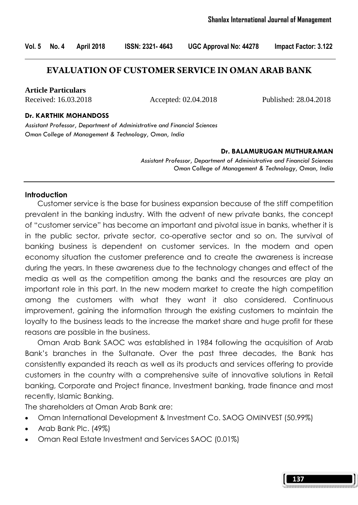## **EVALUATION OF CUSTOMER SERVICE IN OMAN ARAB BANK**

**Article Particulars**

Received: 16.03.2018 Accepted: 02.04.2018 Published: 28.04.2018

#### Dr. KARTHIK MOHANDOSS

Assistant Professor, Department of Administrative and Financial Sciences Oman College of Management & Technology, Oman, India

#### Dr. BALAMURUGAN MUTHURAMAN

Assistant Professor, Department of Administrative and Financial Sciences Oman College of Management & Technology, Oman, India

#### **Introduction**

 Customer service is the base for business expansion because of the stiff competition prevalent in the banking industry. With the advent of new private banks, the concept of "customer service" has become an important and pivotal issue in banks, whether it is in the public sector, private sector, co-operative sector and so on. The survival of banking business is dependent on customer services. In the modern and open economy situation the customer preference and to create the awareness is increase during the years. In these awareness due to the technology changes and effect of the media as well as the competition among the banks and the resources are play an important role in this part. In the new modern market to create the high competition among the customers with what they want it also considered. Continuous improvement, gaining the information through the existing customers to maintain the loyalty to the business leads to the increase the market share and huge profit for these reasons are possible in the business.

 Oman Arab Bank SAOC was established in 1984 following the acquisition of Arab Bank's branches in the Sultanate. Over the past three decades, the Bank has consistently expanded its reach as well as its products and services offering to provide customers in the country with a comprehensive suite of innovative solutions in Retail banking, Corporate and Project finance, Investment banking, trade finance and most recently, Islamic Banking.

The shareholders at Oman Arab Bank are:

- Oman International Development & Investment Co. SAOG OMINVEST (50.99%)
- Arab Bank Plc. (49%)
- Oman Real Estate Investment and Services SAOC (0.01%)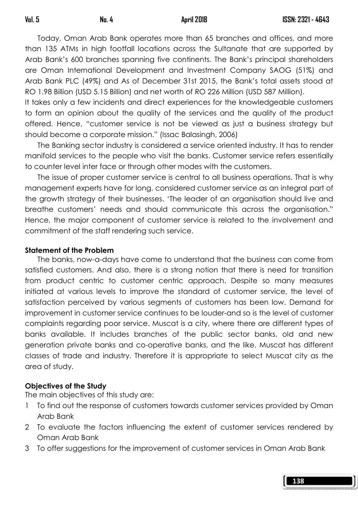Today, Oman Arab Bank operates more than 65 branches and offices, and more than 135 ATMs in high footfall locations across the Sultanate that are supported by Arab Bank's 600 branches spanning five continents. The Bank's principal shareholders are Oman International Development and Investment Company SAOG (51%) and Arab Bank PLC (49%) and As of December 31st 2015, the Bank's total assets stood at RO 1.98 Billion (USD 5.15 Billion) and net worth of RO 226 Million (USD 587 Million).

It takes only a few incidents and direct experiences for the knowledgeable customers to form an opinion about the quality of the services and the quality of the product offered. Hence, "customer service is not be viewed as just a business strategy but should become a corporate mission." (Issac Balasingh, 2006)

 The Banking sector industry is considered a service oriented industry. It has to render manifold services to the people who visit the banks. Customer service refers essentially to counter level inter face or through other modes with the customers.

 The issue of proper customer service is central to all business operations. That is why management experts have for long, considered customer service as an integral part of the growth strategy of their businesses. 'The leader of an organisation should live and breathe customers' needs and should communicate this across the organisation." Hence, the major component of customer service is related to the involvement and commitment of the staff rendering such service.

### Statement of the Problem

 The banks, now-a-days have come to understand that the business can come from satisfied customers. And also, there is a strong notion that there is need for transition from product centric to customer centric approach. Despite so many measures initiated at various levels to improve the standard of customer service, the level of satisfaction perceived by various segments of customers has been low. Demand for improvement in customer service continues to be louder-and so is the level of customer complaints regarding poor service. Muscat is a city, where there are different types of banks available. It includes branches of the public sector banks, old and new generation private banks and co-operative banks, and the like. Muscat has different classes of trade and industry. Therefore it is appropriate to select Muscat city as the area of study.

### Objectives of the Study

The main objectives of this study are:

- 1 To find out the response of customers towards customer services provided by Oman Arab Bank
- 2 To evaluate the factors influencing the extent of customer services rendered by Oman Arab Bank
- 3 To offer suggestions for the improvement of customer services in Oman Arab Bank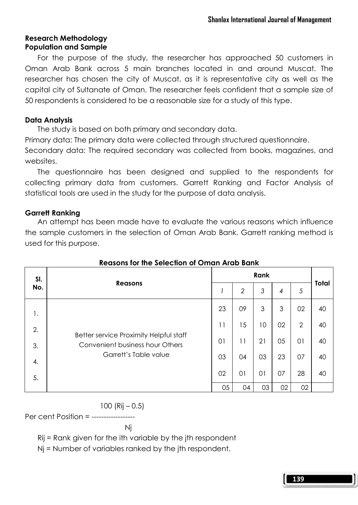# Research Methodology Population and Sample

 For the purpose of the study, the researcher has approached 50 customers in Oman Arab Bank across 5 main branches located in and around Muscat. The researcher has chosen the city of Muscat, as it is representative city as well as the capital city of Sultanate of Oman. The researcher feels confident that a sample size of 50 respondents is considered to be a reasonable size for a study of this type.

# Data Analysis

The study is based on both primary and secondary data.

Primary data: The primary data were collected through structured questionnaire.

Secondary data: The required secondary was collected from books, magazines, and websites.

 The questionnaire has been designed and supplied to the respondents for collecting primary data from customers. Garrett Ranking and Factor Analysis of statistical tools are used in the study for the purpose of data analysis.

# Garrett Ranking

 An attempt has been made have to evaluate the various reasons which influence the sample customers in the selection of Oman Arab Bank. Garrett ranking method is used for this purpose.

| SI.<br>No. | <b>Reasons</b>                                                                                     | Rank            |                |    |                |                |              |
|------------|----------------------------------------------------------------------------------------------------|-----------------|----------------|----|----------------|----------------|--------------|
|            |                                                                                                    |                 | $\overline{2}$ | 3  | $\overline{4}$ | 5              | <b>Total</b> |
| 1.         | Better service Proximity Helpful staff<br>Convenient business hour Others<br>Garrett's Table value | 23              | 09             | 3  | 3              | 02             | 40           |
| 2.         |                                                                                                    | $\overline{11}$ | 15             | 10 | 02             | $\overline{2}$ | 40           |
| 3.         |                                                                                                    | 01              | 11             | 21 | 05             | 01             | 40           |
| 4.         |                                                                                                    | 03              | 04             | 03 | 23             | 07             | 40           |
| 5.         |                                                                                                    | 02              | 01             | 01 | 07             | 28             | 40           |
|            |                                                                                                    | 05              | 04             | 03 | 02             | 02             |              |

# Reasons for the Selection of Oman Arab Bank

# 100 (Rij – 0.5)

Per cent Position = ------------------

Nj

Rij = Rank given for the ith variable by the jth respondent

Nj = Number of variables ranked by the jth respondent.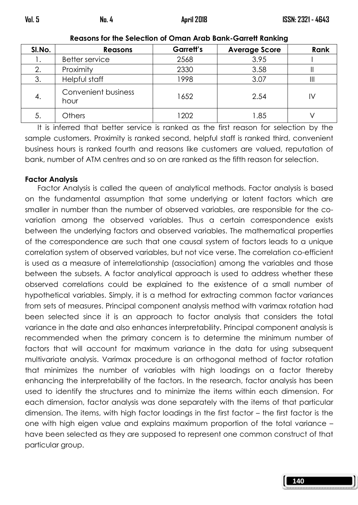| SI.No. | <b>Reasons</b>                     | Garrett's | <b>Average Score</b> | Rank |
|--------|------------------------------------|-----------|----------------------|------|
|        | <b>Better service</b>              | 2568      | 3.95                 |      |
|        | Proximity                          | 2330      | 3.58                 |      |
| 3.     | Helpful staff                      | 1998      | 3.07                 |      |
| 4.     | <b>Convenient business</b><br>hour | 1652      | 2.54                 | I٧   |
| 5.     | <b>Others</b>                      | 1202      | 1.85                 |      |

Reasons for the Selection of Oman Arab Bank-Garrett Ranking

 It is inferred that better service is ranked as the first reason for selection by the sample customers. Proximity is ranked second, helpful staff is ranked third, convenient business hours is ranked fourth and reasons like customers are valued, reputation of bank, number of ATM centres and so on are ranked as the fifth reason for selection.

### Factor Analysis

 Factor Analysis is called the queen of analytical methods. Factor analysis is based on the fundamental assumption that some underlying or latent factors which are smaller in number than the number of observed variables, are responsible for the covariation among the observed variables. Thus a certain correspondence exists between the underlying factors and observed variables. The mathematical properties of the correspondence are such that one causal system of factors leads to a unique correlation system of observed variables, but not vice verse. The correlation co-efficient is used as a measure of interrelationship (association) among the variables and those between the subsets. A factor analytical approach is used to address whether these observed correlations could be explained to the existence of a small number of hypothetical variables. Simply, it is a method for extracting common factor variances from sets of measures. Principal component analysis method with varimax rotation had been selected since it is an approach to factor analysis that considers the total variance in the date and also enhances interpretability. Principal component analysis is recommended when the primary concern is to determine the minimum number of factors that will account for maximum variance in the data for using subsequent multivariate analysis. Varimax procedure is an orthogonal method of factor rotation that minimizes the number of variables with high loadings on a factor thereby enhancing the interpretability of the factors. In the research, factor analysis has been used to identify the structures and to minimize the items within each dimension. For each dimension, factor analysis was done separately with the items of that particular dimension. The items, with high factor loadings in the first factor – the first factor is the one with high eigen value and explains maximum proportion of the total variance – have been selected as they are supposed to represent one common construct of that particular group.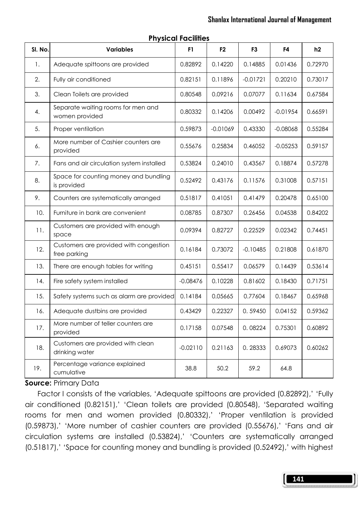| SI. No. | <b>Variables</b>                                       | F1         | F <sub>2</sub> | F <sub>3</sub> | F4         | h2      |
|---------|--------------------------------------------------------|------------|----------------|----------------|------------|---------|
| 1.      | Adequate spittoons are provided                        | 0.82892    | 0.14220        | 0.14885        | 0.01436    | 0.72970 |
| 2.      | Fully air conditioned                                  | 0.82151    | 0.11896        | $-0.01721$     | 0.20210    | 0.73017 |
| 3.      | Clean Toilets are provided                             | 0.80548    | 0.09216        | 0.07077        | 0.11634    | 0.67584 |
| 4.      | Separate waiting rooms for men and<br>women provided   | 0.80332    | 0.14206        | 0.00492        | $-0.01954$ | 0.66591 |
| 5.      | Proper ventilation                                     | 0.59873    | $-0.01069$     | 0.43330        | $-0.08068$ | 0.55284 |
| 6.      | More number of Cashier counters are<br>provided        | 0.55676    | 0.25834        | 0.46052        | $-0.05253$ | 0.59157 |
| 7.      | Fans and air circulation system installed              | 0.53824    | 0.24010        | 0.43567        | 0.18874    | 0.57278 |
| 8.      | Space for counting money and bundling<br>is provided   | 0.52492    | 0.43176        | 0.11576        | 0.31008    | 0.57151 |
| 9.      | Counters are systematically arranged                   | 0.51817    | 0.41051        | 0.41479        | 0.20478    | 0.65100 |
| 10.     | Furniture in bank are convenient                       | 0.08785    | 0.87307        | 0.26456        | 0.04538    | 0.84202 |
| 11.     | Customers are provided with enough<br>space            | 0.09394    | 0.82727        | 0.22529        | 0.02342    | 0.74451 |
| 12.     | Customers are provided with congestion<br>free parking | 0.16184    | 0.73072        | $-0.10485$     | 0.21808    | 0.61870 |
| 13.     | There are enough tables for writing                    | 0.45151    | 0.55417        | 0.06579        | 0.14439    | 0.53614 |
| 14.     | Fire safety system installed                           | $-0.08476$ | 0.10228        | 0.81602        | 0.18430    | 0.71751 |
| 15.     | Safety systems such as alarm are provided              | 0.14184    | 0.05665        | 0.77604        | 0.18467    | 0.65968 |
| 16.     | Adequate dustbins are provided                         | 0.43429    | 0.22327        | 0.59450        | 0.04152    | 0.59362 |
| 17.     | More number of teller counters are<br>provided         | 0.17158    | 0.07548        | 0.08224        | 0.75301    | 0.60892 |
| 18.     | Customers are provided with clean<br>drinking water    | $-0.02110$ | 0.21163        | 0.28333        | 0.69073    | 0.60262 |
| 19.     | Percentage variance explained<br>cumulative            | 38.8       | 50.2           | 59.2           | 64.8       |         |

### Physical Facilities

### Source: Primary Data

Factor I consists of the variables, 'Adequate spittoons are provided (0.82892),' 'Fully air conditioned (0.82151),' 'Clean toilets are provided (0.80548), 'Separated waiting rooms for men and women provided (0.80332),' 'Proper ventilation is provided (0.59873),' 'More number of cashier counters are provided (0.55676),' 'Fans and air circulation systems are installed (0.53824),' 'Counters are systematically arranged (0.51817),' 'Space for counting money and bundling is provided (0.52492),' with highest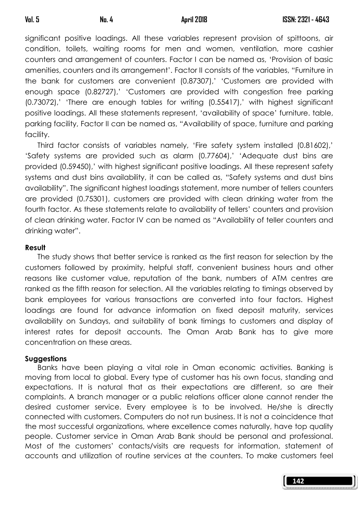significant positive loadings. All these variables represent provision of spittoons, air condition, toilets, waiting rooms for men and women, ventilation, more cashier counters and arrangement of counters. Factor I can be named as, 'Provision of basic amenities, counters and its arrangement'. Factor II consists of the variables, "Furniture in the bank for customers are convenient (0.87307),' 'Customers are provided with enough space (0.82727),' 'Customers are provided with congestion free parking (0.73072),' 'There are enough tables for writing (0.55417),' with highest significant positive loadings. All these statements represent, 'availability of space' furniture. table, parking facility, Factor II can be named as, "Availability of space, furniture and parking facility.

 Third factor consists of variables namely, 'Fire safety system installed (0.81602),' 'Safety systems are provided such as alarm (0.77604),' 'Adequate dust bins are provided (0.59450),' with highest significant positive loadings. All these represent safety systems and dust bins availability, it can be called as, "Safety systems and dust bins availability". The significant highest loadings statement, more number of tellers counters are provided (0.75301), customers are provided with clean drinking water from the fourth factor. As these statements relate to availability of tellers' counters and provision of clean drinking water. Factor IV can be named as "Availability of teller counters and drinking water".

### Result

 The study shows that better service is ranked as the first reason for selection by the customers followed by proximity, helpful staff, convenient business hours and other reasons like customer value, reputation of the bank, numbers of ATM centres are ranked as the fifth reason for selection. All the variables relating to timings observed by bank employees for various transactions are converted into four factors. Highest loadings are found for advance information on fixed deposit maturity, services availability on Sundays, and suitability of bank timings to customers and display of interest rates for deposit accounts. The Oman Arab Bank has to give more concentration on these areas.

### **Suggestions**

 Banks have been playing a vital role in Oman economic activities. Banking is moving from local to global. Every type of customer has his own focus, standing and expectations. It is natural that as their expectations are different, so are their complaints. A branch manager or a public relations officer alone cannot render the desired customer service. Every employee is to be involved. He/she is directly connected with customers. Computers do not run business. It is not a coincidence that the most successful organizations, where excellence comes naturally, have top quality people. Customer service in Oman Arab Bank should be personal and professional. Most of the customers' contacts/visits are requests for information, statement of accounts and utilization of routine services at the counters. To make customers feel